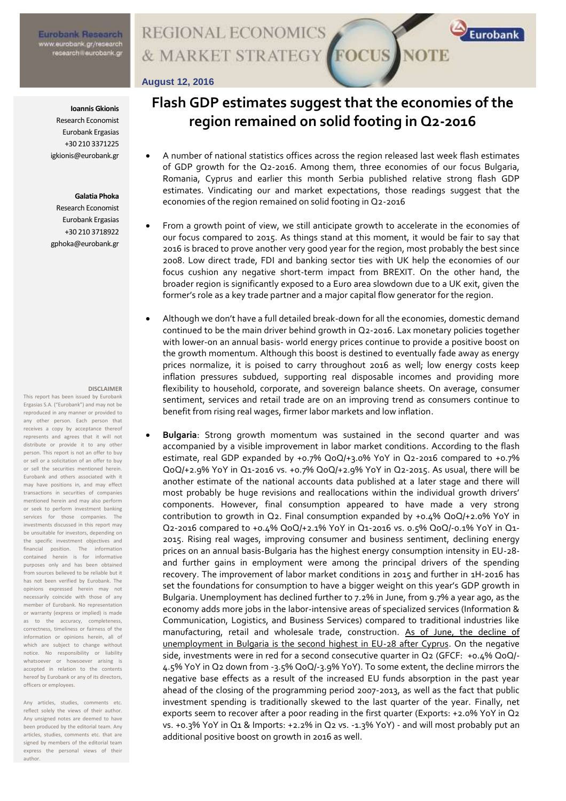# **REGIONAL ECONOMICS** & MARKET STRATEGY FOCUS NOTE

### **August 12, 2016**

#### **Ioannis Gkionis**

Research Economist Eurobank Ergasias +30 210 3371225 igkionis@eurobank.gr

#### **Galatia Phoka**

Research Economist Eurobank Ergasias +30 210 3718922 gphoka@eurobank.gr

#### **DISCLAIMER**

This report has been issued by Eurobank Ergasias S.A. ("Eurobank") and may not be reproduced in any manner or provided to any other person. Each person that receives a copy by acceptance thereof represents and agrees that it will not distribute or provide it to any other person. This report is not an offer to buy or sell or a solicitation of an offer to buy or sell the securities mentioned herein. Eurobank and others associated with it may have positions in, and may effect transactions in securities of companies mentioned herein and may also perform or seek to perform investment banking services for those companies. The investments discussed in this report may be unsuitable for investors, depending on the specific investment objectives and financial position. The information contained herein is for informative purposes only and has been obtained from sources believed to be reliable but it has not been verified by Eurobank. The opinions expressed herein may not necessarily coincide with those of any member of Eurobank. No representation or warranty (express or implied) is made as to the accuracy, completeness, correctness, timeliness or fairness of the information or opinions herein, all of which are subject to change without notice. No responsibility or liability whatsoever or howsoever arising is accepted in relation to the contents hereof by Eurobank or any of its directors, officers or employees.

Any articles, studies, comments etc. reflect solely the views of their author. Any unsigned notes are deemed to have been produced by the editorial team. Any articles, studies, comments etc. that are signed by members of the editorial team express the personal views of their author.

# **Flash GDP estimates suggest that the economies of the region remained on solid footing in Q2-2016**

Eurobank

- A number of national statistics offices across the region released last week flash estimates of GDP growth for the Q2-2016. Among them, three economies of our focus Bulgaria, Romania, Cyprus and earlier this month Serbia published relative strong flash GDP estimates. Vindicating our and market expectations, those readings suggest that the economies of the region remained on solid footing in Q2-2016
- From a growth point of view, we still anticipate growth to accelerate in the economies of our focus compared to 2015. As things stand at this moment, it would be fair to say that 2016 is braced to prove another very good year for the region, most probably the best since 2008. Low direct trade, FDI and banking sector ties with UK help the economies of our focus cushion any negative short-term impact from BREXIT. On the other hand, the broader region is significantly exposed to a Euro area slowdown due to a UK exit, given the former's role as a key trade partner and a major capital flow generator for the region.
- Although we don't have a full detailed break-down for all the economies, domestic demand continued to be the main driver behind growth in Q2-2016. Lax monetary policies together with lower-on an annual basis- world energy prices continue to provide a positive boost on the growth momentum. Although this boost is destined to eventually fade away as energy prices normalize, it is poised to carry throughout 2016 as well; low energy costs keep inflation pressures subdued, supporting real disposable incomes and providing more flexibility to household, corporate, and sovereign balance sheets. On average, consumer sentiment, services and retail trade are on an improving trend as consumers continue to benefit from rising real wages, firmer labor markets and low inflation.
	- **Bulgaria**: Strong growth momentum was sustained in the second quarter and was accompanied by a visible improvement in labor market conditions. According to the flash estimate, real GDP expanded by +0.7% QoQ/+3.0% YoY in Q2-2016 compared to +0.7% QoQ/+2.9% YoY in Q1-2016 vs. +0.7% QoQ/+2.9% YoY in Q2-2015. As usual, there will be another estimate of the national accounts data published at a later stage and there will most probably be huge revisions and reallocations within the individual growth drivers' components. However, final consumption appeared to have made a very strong contribution to growth in Q2. Final consumption expanded by +0.4% QoQ/+2.0% YoY in Q2-2016 compared to +0.4% QoQ/+2.1% YoY in Q1-2016 vs. 0.5% QoQ/-0.1% YoY in Q1- 2015. Rising real wages, improving consumer and business sentiment, declining energy prices on an annual basis-Bulgaria has the highest energy consumption intensity in EU-28 and further gains in employment were among the principal drivers of the spending recovery. The improvement of labor market conditions in 2015 and further in 1H-2016 has set the foundations for consumption to have a bigger weight on this year's GDP growth in Bulgaria. Unemployment has declined further to 7.2% in June, from 9.7% a year ago, as the economy adds more jobs in the labor-intensive areas of specialized services (Information & Communication, Logistics, and Business Services) compared to traditional industries like manufacturing, retail and wholesale trade, construction. As of June, the decline of unemployment in Bulgaria is the second highest in EU-28 after Cyprus. On the negative side, investments were in red for a second consecutive quarter in Q2 (GFCF: +0.4% QoQ/- 4.5% YoY in Q2 down from -3.5% QoQ/-3.9% YoY). To some extent, the decline mirrors the negative base effects as a result of the increased EU funds absorption in the past year ahead of the closing of the programming period 2007-2013, as well as the fact that public investment spending is traditionally skewed to the last quarter of the year. Finally, net exports seem to recover after a poor reading in the first quarter (Exports: +2.0% YoY in Q2 vs. +0.3% YoY in Q1 & Imports: +2.2% in Q2 vs. -1.3% YoY) - and will most probably put an additional positive boost on growth in 2016 as well.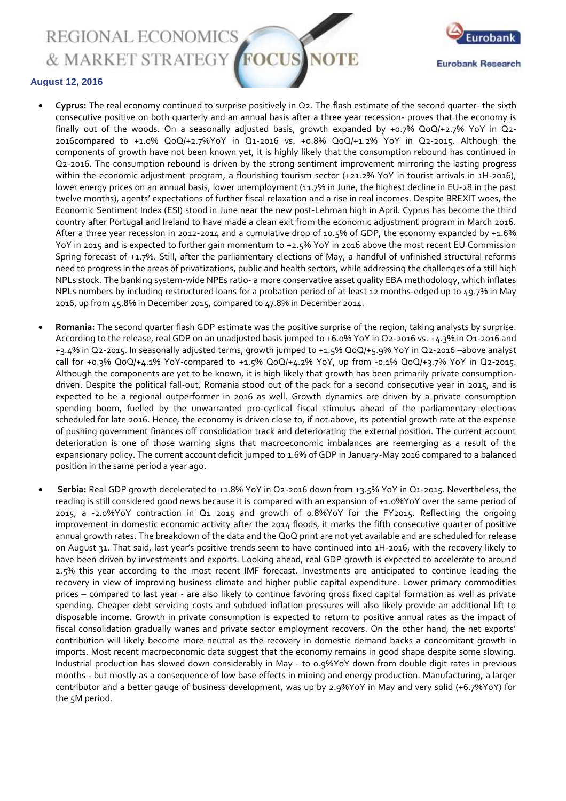REGIONAL ECONOMICS & MARKET STRATEGY



### **August 12, 2016**

- **Cyprus:** The real economy continued to surprise positively in Q2. The flash estimate of the second quarter- the sixth consecutive positive on both quarterly and an annual basis after a three year recession- proves that the economy is finally out of the woods. On a seasonally adjusted basis, growth expanded by +0.7% QoQ/+2.7% YoY in Q2-2016compared to +1.0% QoQ/+2.7%YoY in Q1-2016 vs. +0.8% QoQ/+1.2% YoY in Q2-2015. Although the components of growth have not been known yet, it is highly likely that the consumption rebound has continued in Q2-2016. The consumption rebound is driven by the strong sentiment improvement mirroring the lasting progress within the economic adjustment program, a flourishing tourism sector (+21.2% YoY in tourist arrivals in 1H-2016), lower energy prices on an annual basis, lower unemployment (11.7% in June, the highest decline in EU-28 in the past twelve months), agents' expectations of further fiscal relaxation and a rise in real incomes. Despite BREXIT woes, the Economic Sentiment Index (ESI) stood in June near the new post-Lehman high in April. Cyprus has become the third country after Portugal and Ireland to have made a clean exit from the economic adjustment program in March 2016. After a three year recession in 2012-2014 and a cumulative drop of 10.5% of GDP, the economy expanded by +1.6% YoY in 2015 and is expected to further gain momentum to +2.5% YoY in 2016 above the most recent EU Commission Spring forecast of +1.7%. Still, after the parliamentary elections of May, a handful of unfinished structural reforms need to progress in the areas of privatizations, public and health sectors, while addressing the challenges of a still high NPLs stock. The banking system-wide NPEs ratio- a more conservative asset quality EBA methodology, which inflates NPLs numbers by including restructured loans for a probation period of at least 12 months-edged up to 49.7% in May 2016, up from 45.8% in December 2015, compared to 47.8% in December 2014.
- **Romania:** The second quarter flash GDP estimate was the positive surprise of the region, taking analysts by surprise. According to the release, real GDP on an unadjusted basis jumped to +6.0% YoY in Q2-2016 vs. +4.3% in Q1-2016 and +3.4% in Q2-2015. In seasonally adjusted terms, growth jumped to +1.5% QoQ/+5.9% YoY in Q2-2016 –above analyst call for +0.3% QoQ/+4.1% YoY-compared to +1.5% QoQ/+4.2% YoY, up from -0.1% QoQ/+3.7% YoY in Q2-2015. Although the components are yet to be known, it is high likely that growth has been primarily private consumptiondriven. Despite the political fall-out, Romania stood out of the pack for a second consecutive year in 2015, and is expected to be a regional outperformer in 2016 as well. Growth dynamics are driven by a private consumption spending boom, fuelled by the unwarranted pro-cyclical fiscal stimulus ahead of the parliamentary elections scheduled for late 2016. Hence, the economy is driven close to, if not above, its potential growth rate at the expense of pushing government finances off consolidation track and deteriorating the external position. The current account deterioration is one of those warning signs that macroeconomic imbalances are reemerging as a result of the expansionary policy. The current account deficit jumped to 1.6% of GDP in January-May 2016 compared to a balanced position in the same period a year ago.
- **Serbia:** Real GDP growth decelerated to +1.8% YoY in Q2-2016 down from +3.5% YoY in Q1-2015. Nevertheless, the reading is still considered good news because it is compared with an expansion of +1.0%YoY over the same period of 2015, a -2.0%YoY contraction in Q1 2015 and growth of 0.8%YoY for the FY2015. Reflecting the ongoing improvement in domestic economic activity after the 2014 floods, it marks the fifth consecutive quarter of positive annual growth rates. The breakdown of the data and the QoQ print are not yet available and are scheduled for release on August 31. That said, last year's positive trends seem to have continued into 1H-2016, with the recovery likely to have been driven by investments and exports. Looking ahead, real GDP growth is expected to accelerate to around 2.5% this year according to the most recent IMF forecast. Investments are anticipated to continue leading the recovery in view of improving business climate and higher public capital expenditure. Lower primary commodities prices – compared to last year - are also likely to continue favoring gross fixed capital formation as well as private spending. Cheaper debt servicing costs and subdued inflation pressures will also likely provide an additional lift to disposable income. Growth in private consumption is expected to return to positive annual rates as the impact of fiscal consolidation gradually wanes and private sector employment recovers. On the other hand, the net exports' contribution will likely become more neutral as the recovery in domestic demand backs a concomitant growth in imports. Most recent macroeconomic data suggest that the economy remains in good shape despite some slowing. Industrial production has slowed down considerably in May - to 0.9%YoY down from double digit rates in previous months - but mostly as a consequence of low base effects in mining and energy production. Manufacturing, a larger contributor and a better gauge of business development, was up by 2.9%YoY in May and very solid (+6.7%YoY) for the 5M period.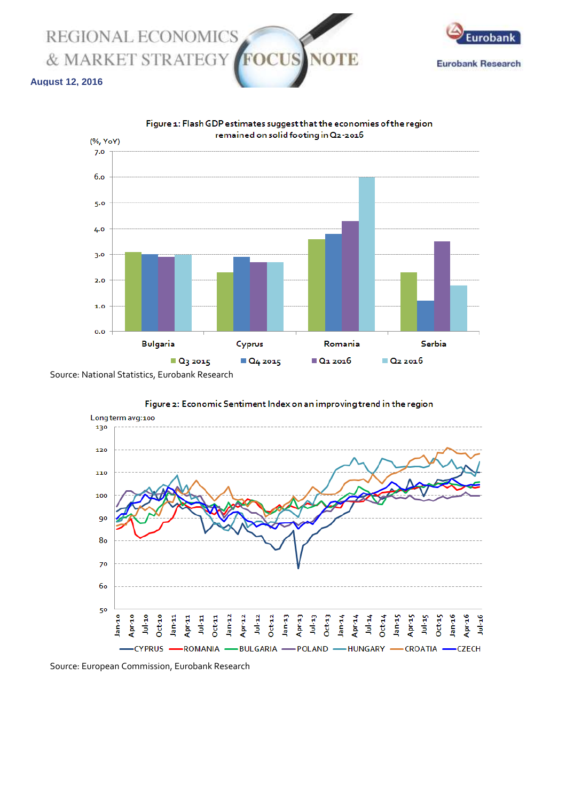



### **August 12, 2016**



Source: National Statistics, Eurobank Research





Source: European Commission, Eurobank Research